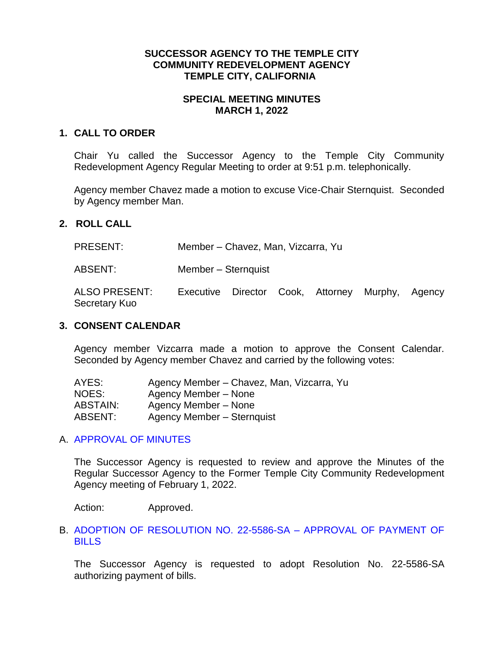#### **SUCCESSOR AGENCY TO THE TEMPLE CITY COMMUNITY REDEVELOPMENT AGENCY TEMPLE CITY, CALIFORNIA**

# **SPECIAL MEETING MINUTES MARCH 1, 2022**

### **1. CALL TO ORDER**

Chair Yu called the Successor Agency to the Temple City Community Redevelopment Agency Regular Meeting to order at 9:51 p.m. telephonically.

Agency member Chavez made a motion to excuse Vice-Chair Sternquist. Seconded by Agency member Man.

#### **2. ROLL CALL**

| <b>PRESENT:</b> | Member – Chavez, Man, Vizcarra, Yu |
|-----------------|------------------------------------|
|-----------------|------------------------------------|

ABSENT: Member – Sternquist

ALSO PRESENT: Executive Director Cook, Attorney Murphy, Agency Secretary Kuo

### **3. CONSENT CALENDAR**

Agency member Vizcarra made a motion to approve the Consent Calendar. Seconded by Agency member Chavez and carried by the following votes:

| AYES:           | Agency Member – Chavez, Man, Vizcarra, Yu |
|-----------------|-------------------------------------------|
| NOES:           | Agency Member – None                      |
| <b>ABSTAIN:</b> | Agency Member – None                      |
| ABSENT:         | Agency Member - Sternquist                |

#### A. [APPROVAL OF MINUTES](https://www.ci.temple-city.ca.us/DocumentCenter/View/17536/09-3A_SAM--2022-02-01)

The Successor Agency is requested to review and approve the Minutes of the Regular Successor Agency to the Former Temple City Community Redevelopment Agency meeting of February 1, 2022.

Action: Approved.

### B. [ADOPTION OF RESOLUTION NO. 22-5586-SA –](https://www.ci.temple-city.ca.us/DocumentCenter/View/17537/10-3B_SA-Warrant_Reso-No-21-5586-SA_2022-03-01_with-attachments-v1) APPROVAL OF PAYMENT OF **[BILLS](https://www.ci.temple-city.ca.us/DocumentCenter/View/17537/10-3B_SA-Warrant_Reso-No-21-5586-SA_2022-03-01_with-attachments-v1)**

The Successor Agency is requested to adopt Resolution No. 22-5586-SA authorizing payment of bills.